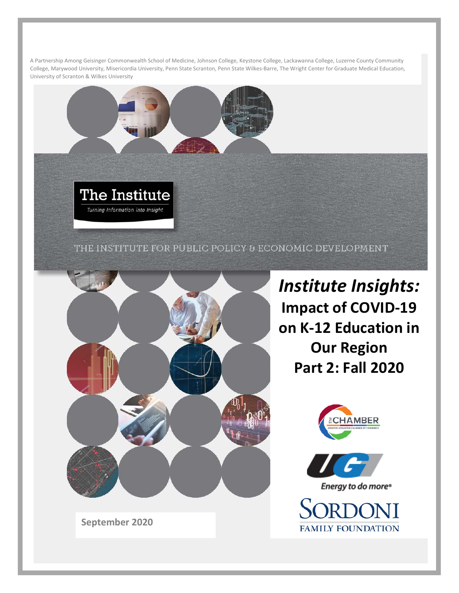A Partnership Among Geisinger Commonwealth School of Medicine, Johnson College, Keystone College, Lackawanna College, Luzerne County Community College, Marywood University, Misericordia University, Penn State Scranton, Penn State Wilkes-Barre, The Wright Center for Graduate Medical Education, University of Scranton & Wilkes University

THE INSTITUTE FOR PUBLIC POLICY & ECONOMIC DEVELOPMENT



Energy to do more<sup>®</sup> SORDONI

**FAMILY FOUNDATION** 

AMBER

*Institute Insights:* 

**Impact of COVID-19** 

**on K-12 Education in** 

**Our Region**

**Part 2: Fall 2020**

**September 2020**

The Institute

Turning Information into Insight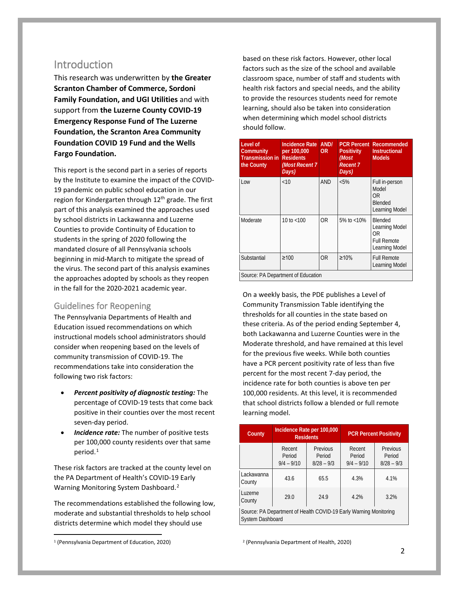### **Introduction**

This research was underwritten by **the Greater Scranton Chamber of Commerce, Sordoni Family Foundation, and UGI Utilities** and with support from **the Luzerne County COVID-19 Emergency Response Fund of The Luzerne Foundation, the Scranton Area Community Foundation COVID 19 Fund and the Wells Fargo Foundation.**

This report is the second part in a series of reports by the Institute to examine the impact of the COVID-19 pandemic on public school education in our region for Kindergarten through  $12<sup>th</sup>$  grade. The first part of this analysis examined the approaches used by school districts in Lackawanna and Luzerne Counties to provide Continuity of Education to students in the spring of 2020 following the mandated closure of all Pennsylvania schools beginning in mid-March to mitigate the spread of the virus. The second part of this analysis examines the approaches adopted by schools as they reopen in the fall for the 2020-2021 academic year.

### Guidelines for Reopening

The Pennsylvania Departments of Health and Education issued recommendations on which instructional models school administrators should consider when reopening based on the levels of community transmission of COVID-19. The recommendations take into consideration the following two risk factors:

- *Percent positivity of diagnostic testing:* The percentage of COVID-19 tests that come back positive in their counties over the most recent seven-day period.
- **Incidence rate:** The number of positive tests per 100,000 county residents over that same period.<sup>[1](#page-1-0)</sup>

These risk factors are tracked at the county level on the PA Department of Health's COVID-19 Early Warning Monitoring System Dashboard. [2](#page-1-0)

The recommendations established the following low, moderate and substantial thresholds to help school districts determine which model they should use

based on these risk factors. However, other local factors such as the size of the school and available classroom space, number of staff and students with health risk factors and special needs, and the ability to provide the resources students need for remote learning, should also be taken into consideration when determining which model school districts should follow.

| Level of<br>Community<br>Transmission in<br>the County | Incidence Rate<br>per 100,000<br><b>Residents</b><br>(Most Recent 7)<br>Days) | AND/<br>0R     | <b>PCR Percent</b><br><b>Positivity</b><br>(Most<br><b>Recent 7</b><br>Days) | Recommended<br><b>Instructional</b><br><b>Models</b>                    |
|--------------------------------------------------------|-------------------------------------------------------------------------------|----------------|------------------------------------------------------------------------------|-------------------------------------------------------------------------|
| Low                                                    | <10                                                                           | <b>AND</b>     | $< 5\%$                                                                      | Full in-person<br>Model<br>0R<br><b>Blended</b><br>Learning Model       |
| Moderate                                               | 10 to $<$ 100                                                                 | 0 <sub>R</sub> | 5% to $<$ 10%                                                                | Blended<br>Learning Model<br>ΩR<br><b>Full Remote</b><br>Learning Model |
| Substantial                                            | $\geq 100$                                                                    | 0 <sub>R</sub> | $\geq 10\%$                                                                  | <b>Full Remote</b><br>Learning Model                                    |
| Source: PA Department of Education                     |                                                                               |                |                                                                              |                                                                         |

On a weekly basis, the PDE publishes a Level of Community Transmission Table identifying the thresholds for all counties in the state based on these criteria. As of the period ending September 4, both Lackawanna and Luzerne Counties were in the Moderate threshold, and have remained at this level for the previous five weeks. While both counties have a PCR percent positivity rate of less than five percent for the most recent 7-day period, the incidence rate for both counties is above ten per 100,000 residents. At this level, it is recommended that school districts follow a blended or full remote learning model.

| County               |                                                                   | Incidence Rate per 100,000<br><b>Residents</b> |                                  | <b>PCR Percent Positivity</b>      |
|----------------------|-------------------------------------------------------------------|------------------------------------------------|----------------------------------|------------------------------------|
|                      | Recent<br>Period<br>$9/4 - 9/10$                                  | Previous<br>Period<br>$8/28 - 9/3$             | Recent<br>Period<br>$9/4 - 9/10$ | Previous<br>Period<br>$8/28 - 9/3$ |
| Lackawanna<br>County | 43.6                                                              | 65.5                                           | 4.3%                             | 4.1%                               |
| Luzerne<br>County    | 29.0                                                              | 24.9                                           | 4.2%                             | 3.2%                               |
| System Dashboard     | Source: PA Department of Health COVID-19 Early Warning Monitoring |                                                |                                  |                                    |

<sup>2</sup> (Pennsylvania Department of Health, 2020)

<span id="page-1-0"></span> <sup>1</sup> (Pennsylvania Department of Education, 2020)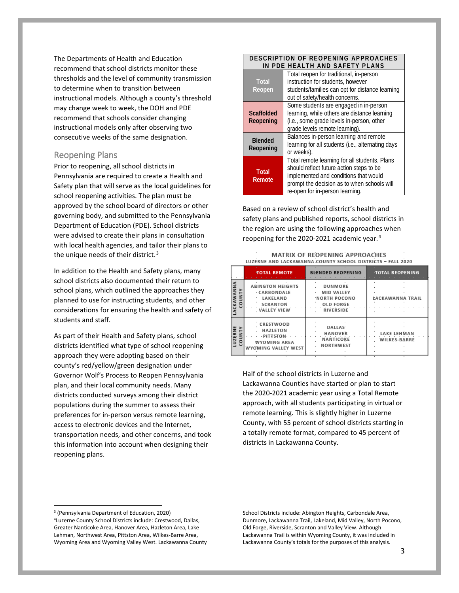The Departments of Health and Education recommend that school districts monitor these thresholds and the level of community transmission to determine when to transition between instructional models. Although a county's threshold may change week to week, the DOH and PDE recommend that schools consider changing instructional models only after observing two consecutive weeks of the same designation.

#### Reopening Plans

Prior to reopening, all school districts in Pennsylvania are required to create a Health and Safety plan that will serve as the local guidelines for school reopening activities. The plan must be approved by the school board of directors or other governing body, and submitted to the Pennsylvania Department of Education (PDE). School districts were advised to create their plans in consultation with local health agencies, and tailor their plans to the unique needs of their district.<sup>[3](#page-2-0)</sup>

In addition to the Health and Safety plans, many school districts also documented their return to school plans, which outlined the approaches they planned to use for instructing students, and other considerations for ensuring the health and safety of students and staff.

As part of their Health and Safety plans, school districts identified what type of school reopening approach they were adopting based on their county's red/yellow/green designation under Governor Wolf's Process to Reopen Pennsylvania plan, and their local community needs. Many districts conducted surveys among their district populations during the summer to assess their preferences for in-person versus remote learning, access to electronic devices and the Internet, transportation needs, and other concerns, and took this information into account when designing their reopening plans.

#### **IN PDE HEALTH AND SAFETY PLANS Total Reopen** Total reopen for traditional, in-person instruction for students, however students/families can opt for distance learning out of safety/health concerns. **Scaffolded Reopening** Some students are engaged in in-person learning, while others are distance learning (i.e., some grade levels in-person, other grade levels remote learning). **Blended Reopening** Balances in-person learning and remote learning for all students (i.e., alternating days or weeks). **Total Remote** Total remote learning for all students. Plans should reflect future action steps to be implemented and conditions that would prompt the decision as to when schools will re-open for in-person learning.

**DESCRIPTION OF REOPENING APPROACHES** 

Based on a review of school district's health and safety plans and published reports, school districts in the region are using the following approaches when reopening for the 2020-2021 academic year.<sup>[4](#page-2-1)</sup>

|                      | <b>TOTAL REMOTE</b>                                                                           | <b>BLENDED REOPENING</b>                                                             | <b>TOTAL REOPENING</b>                    |
|----------------------|-----------------------------------------------------------------------------------------------|--------------------------------------------------------------------------------------|-------------------------------------------|
| LACKAWANNA<br>COUNTY | <b>ABINGTON HEIGHTS</b><br>CARBONDALE<br>LAKELAND<br><b>SCRANTON</b><br>VALLEY VIEW           | DUNMORE<br><b>MID VALLEY</b><br>NORTH POCONO<br><b>OLD FORGE</b><br><b>RIVERSIDE</b> | LACKAWANNA TRAIL                          |
| LUZERNE<br>COUNT     | CRESTWOOD<br><b>HAZLETON</b><br><b>PITTSTON</b><br><b>WYOMING AREA</b><br>WYOMING VALLEY WEST | <b>DALLAS</b><br>HANOVER<br>NANTICOKE<br><b>NORTHWEST</b>                            | <b>LAKE LEHMAN</b><br><b>WILKES-BARRE</b> |

|  | <b>MATRIX OF REOPENING APPROACHES</b> |                                                           |  |
|--|---------------------------------------|-----------------------------------------------------------|--|
|  |                                       |                                                           |  |
|  |                                       | LUZERNE AND LACKAWANNA COUNTY SCHOOL DISTRICTS - FALL 202 |  |

Half of the school districts in Luzerne and Lackawanna Counties have started or plan to start the 2020-2021 academic year using a Total Remote approach, with all students participating in virtual or remote learning. This is slightly higher in Luzerne County, with 55 percent of school districts starting in a totally remote format, compared to 45 percent of districts in Lackawanna County.

<span id="page-2-1"></span><span id="page-2-0"></span> <sup>3</sup> (Pennsylvania Department of Education, 2020) 4Luzerne County School Districts include: Crestwood, Dallas, Greater Nanticoke Area, Hanover Area, Hazleton Area, Lake Lehman, Northwest Area, Pittston Area, Wilkes-Barre Area, Wyoming Area and Wyoming Valley West. Lackawanna County

School Districts include: Abington Heights, Carbondale Area, Dunmore, Lackawanna Trail, Lakeland, Mid Valley, North Pocono, Old Forge, Riverside, Scranton and Valley View. Although Lackawanna Trail is within Wyoming County, it was included in Lackawanna County's totals for the purposes of this analysis.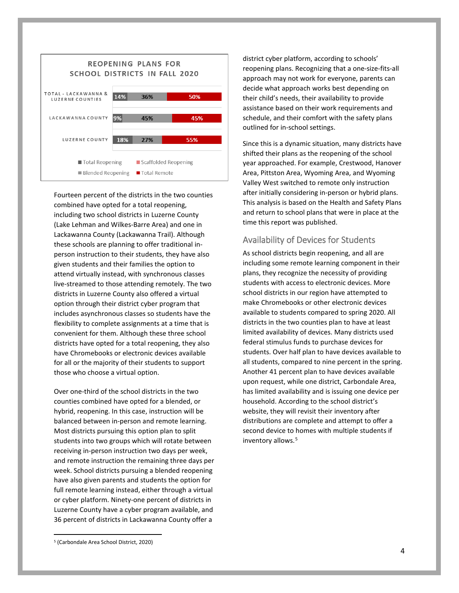

Fourteen percent of the districts in the two counties combined have opted for a total reopening, including two school districts in Luzerne County (Lake Lehman and Wilkes-Barre Area) and one in Lackawanna County (Lackawanna Trail). Although these schools are planning to offer traditional inperson instruction to their students, they have also given students and their families the option to attend virtually instead, with synchronous classes live-streamed to those attending remotely. The two districts in Luzerne County also offered a virtual option through their district cyber program that includes asynchronous classes so students have the flexibility to complete assignments at a time that is convenient for them. Although these three school districts have opted for a total reopening, they also have Chromebooks or electronic devices available for all or the majority of their students to support those who choose a virtual option.

Over one-third of the school districts in the two counties combined have opted for a blended, or hybrid, reopening. In this case, instruction will be balanced between in-person and remote learning. Most districts pursuing this option plan to split students into two groups which will rotate between receiving in-person instruction two days per week, and remote instruction the remaining three days per week. School districts pursuing a blended reopening have also given parents and students the option for full remote learning instead, either through a virtual or cyber platform. Ninety-one percent of districts in Luzerne County have a cyber program available, and 36 percent of districts in Lackawanna County offer a

district cyber platform, according to schools' reopening plans. Recognizing that a one-size-fits-all approach may not work for everyone, parents can decide what approach works best depending on their child's needs, their availability to provide assistance based on their work requirements and schedule, and their comfort with the safety plans outlined for in-school settings.

Since this is a dynamic situation, many districts have shifted their plans as the reopening of the school year approached. For example, Crestwood, Hanover Area, Pittston Area, Wyoming Area, and Wyoming Valley West switched to remote only instruction after initially considering in-person or hybrid plans. This analysis is based on the Health and Safety Plans and return to school plans that were in place at the time this report was published.

#### Availability of Devices for Students

As school districts begin reopening, and all are including some remote learning component in their plans, they recognize the necessity of providing students with access to electronic devices. More school districts in our region have attempted to make Chromebooks or other electronic devices available to students compared to spring 2020. All districts in the two counties plan to have at least limited availability of devices. Many districts used federal stimulus funds to purchase devices for students. Over half plan to have devices available to all students, compared to nine percent in the spring. Another 41 percent plan to have devices available upon request, while one district, Carbondale Area, has limited availability and is issuing one device per household. According to the school district's website, they will revisit their inventory after distributions are complete and attempt to offer a second device to homes with multiple students if inventory allows.<sup>[5](#page-3-0)</sup>

<span id="page-3-0"></span> <sup>5</sup> (Carbondale Area School District, 2020)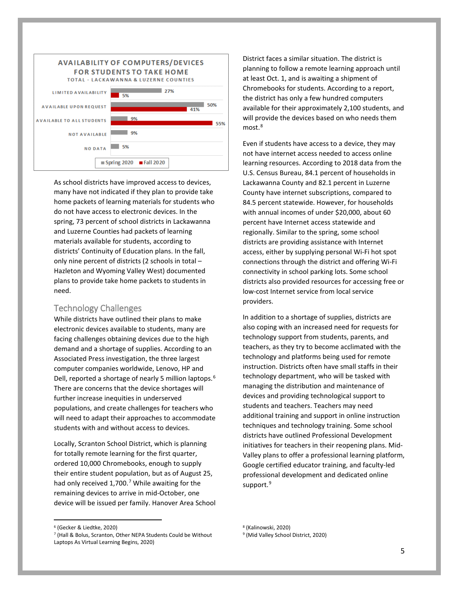

As school districts have improved access to devices, many have not indicated if they plan to provide take home packets of learning materials for students who do not have access to electronic devices. In the spring, 73 percent of school districts in Lackawanna and Luzerne Counties had packets of learning materials available for students, according to districts' Continuity of Education plans. In the fall, only nine percent of districts (2 schools in total – Hazleton and Wyoming Valley West) documented plans to provide take home packets to students in need.

#### Technology Challenges

While districts have outlined their plans to make electronic devices available to students, many are facing challenges obtaining devices due to the high demand and a shortage of supplies. According to an Associated Press investigation, the three largest computer companies worldwide, Lenovo, HP and Dell, reported a shortage of nearly 5 million laptops.<sup>[6](#page-4-0)</sup> There are concerns that the device shortages will further increase inequities in underserved populations, and create challenges for teachers who will need to adapt their approaches to accommodate students with and without access to devices.

Locally, Scranton School District, which is planning for totally remote learning for the first quarter, ordered 10,000 Chromebooks, enough to supply their entire student population, but as of August 25, had only received  $1,700$  $1,700$  $1,700$ .<sup>7</sup> While awaiting for the remaining devices to arrive in mid-October, one device will be issued per family. Hanover Area School District faces a similar situation. The district is planning to follow a remote learning approach until at least Oct. 1, and is awaiting a shipment of Chromebooks for students. According to a report, the district has only a few hundred computers available for their approximately 2,100 students, and will provide the devices based on who needs them most.<sup>[8](#page-4-0)</sup>

Even if students have access to a device, they may not have internet access needed to access online learning resources. According to 2018 data from the U.S. Census Bureau, 84.1 percent of households in Lackawanna County and 82.1 percent in Luzerne County have internet subscriptions, compared to 84.5 percent statewide. However, for households with annual incomes of under \$20,000, about 60 percent have Internet access statewide and regionally. Similar to the spring, some school districts are providing assistance with Internet access, either by supplying personal Wi-Fi hot spot connections through the district and offering Wi-Fi connectivity in school parking lots. Some school districts also provided resources for accessing free or low-cost Internet service from local service providers.

In addition to a shortage of supplies, districts are also coping with an increased need for requests for technology support from students, parents, and teachers, as they try to become acclimated with the technology and platforms being used for remote instruction. Districts often have small staffs in their technology department, who will be tasked with managing the distribution and maintenance of devices and providing technological support to students and teachers. Teachers may need additional training and support in online instruction techniques and technology training. Some school districts have outlined Professional Development initiatives for teachers in their reopening plans. Mid-Valley plans to offer a professional learning platform, Google certified educator training, and faculty-led professional development and dedicated online support.<sup>[9](#page-4-1)</sup>

<span id="page-4-1"></span><span id="page-4-0"></span> <sup>6</sup> (Gecker & Liedtke, 2020)

<sup>7</sup> (Hall & Bolus, Scranton, Other NEPA Students Could be Without Laptops As Virtual Learning Begins, 2020)

<sup>8</sup> (Kalinowski, 2020)

<sup>9</sup> (Mid Valley School District, 2020)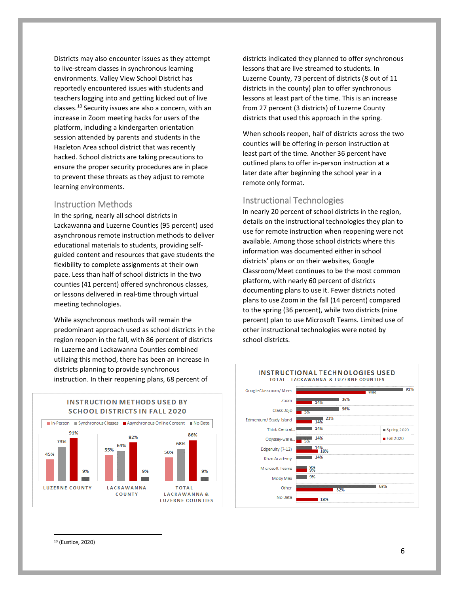Districts may also encounter issues as they attempt to live-stream classes in synchronous learning environments. Valley View School District has reportedly encountered issues with students and teachers logging into and getting kicked out of live classes.[10](#page-5-0) Security issues are also a concern, with an increase in Zoom meeting hacks for users of the platform, including a kindergarten orientation session attended by parents and students in the Hazleton Area school district that was recently hacked. School districts are taking precautions to ensure the proper security procedures are in place to prevent these threats as they adjust to remote learning environments.

#### Instruction Methods

In the spring, nearly all school districts in Lackawanna and Luzerne Counties (95 percent) used asynchronous remote instruction methods to deliver educational materials to students, providing selfguided content and resources that gave students the flexibility to complete assignments at their own pace. Less than half of school districts in the two counties (41 percent) offered synchronous classes, or lessons delivered in real-time through virtual meeting technologies.

While asynchronous methods will remain the predominant approach used as school districts in the region reopen in the fall, with 86 percent of districts in Luzerne and Lackawanna Counties combined utilizing this method, there has been an increase in districts planning to provide synchronous instruction. In their reopening plans, 68 percent of

districts indicated they planned to offer synchronous lessons that are live streamed to students. In Luzerne County, 73 percent of districts (8 out of 11 districts in the county) plan to offer synchronous lessons at least part of the time. This is an increase from 27 percent (3 districts) of Luzerne County districts that used this approach in the spring.

When schools reopen, half of districts across the two counties will be offering in-person instruction at least part of the time. Another 36 percent have outlined plans to offer in-person instruction at a later date after beginning the school year in a remote only format.

#### Instructional Technologies

In nearly 20 percent of school districts in the region, details on the instructional technologies they plan to use for remote instruction when reopening were not available. Among those school districts where this information was documented either in school districts' plans or on their websites, Google Classroom/Meet continues to be the most common platform, with nearly 60 percent of districts documenting plans to use it. Fewer districts noted plans to use Zoom in the fall (14 percent) compared to the spring (36 percent), while two districts (nine percent) plan to use Microsoft Teams. Limited use of other instructional technologies were noted by school districts.





#### **INSTRUCTIONAL TECHNOLOGIES USED** TOTAL - LACKAWANNA & LUZERNE COUNTIES



<span id="page-5-0"></span>10 (Eustice, 2020)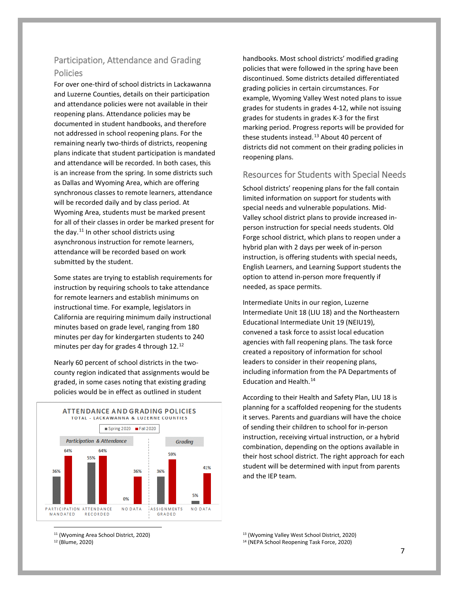### Participation, Attendance and Grading Policies

For over one-third of school districts in Lackawanna and Luzerne Counties, details on their participation and attendance policies were not available in their reopening plans. Attendance policies may be documented in student handbooks, and therefore not addressed in school reopening plans. For the remaining nearly two-thirds of districts, reopening plans indicate that student participation is mandated and attendance will be recorded. In both cases, this is an increase from the spring. In some districts such as Dallas and Wyoming Area, which are offering synchronous classes to remote learners, attendance will be recorded daily and by class period. At Wyoming Area, students must be marked present for all of their classes in order be marked present for the day. $11$  In other school districts using asynchronous instruction for remote learners, attendance will be recorded based on work submitted by the student.

Some states are trying to establish requirements for instruction by requiring schools to take attendance for remote learners and establish minimums on instructional time. For example, legislators in California are requiring minimum daily instructional minutes based on grade level, ranging from 180 minutes per day for kindergarten students to 240 minutes per day for grades 4 through 12.[12](#page-6-1)

Nearly 60 percent of school districts in the twocounty region indicated that assignments would be graded, in some cases noting that existing grading policies would be in effect as outlined in student



<span id="page-6-0"></span>11 (Wyoming Area School District, 2020)

<span id="page-6-1"></span><sup>12</sup> (Blume, 2020)

handbooks. Most school districts' modified grading policies that were followed in the spring have been discontinued. Some districts detailed differentiated grading policies in certain circumstances. For example, Wyoming Valley West noted plans to issue grades for students in grades 4-12, while not issuing grades for students in grades K-3 for the first marking period. Progress reports will be provided for these students instead.<sup>[13](#page-6-0)</sup> About 40 percent of districts did not comment on their grading policies in reopening plans.

#### Resources for Students with Special Needs

School districts' reopening plans for the fall contain limited information on support for students with special needs and vulnerable populations. Mid-Valley school district plans to provide increased inperson instruction for special needs students. Old Forge school district, which plans to reopen under a hybrid plan with 2 days per week of in-person instruction, is offering students with special needs, English Learners, and Learning Support students the option to attend in-person more frequently if needed, as space permits.

Intermediate Units in our region, Luzerne Intermediate Unit 18 (LIU 18) and the Northeastern Educational Intermediate Unit 19 (NEIU19), convened a task force to assist local education agencies with fall reopening plans. The task force created a repository of information for school leaders to consider in their reopening plans, including information from the PA Departments of Education and Health.[14](#page-6-1)

According to their Health and Safety Plan, LIU 18 is planning for a scaffolded reopening for the students it serves. Parents and guardians will have the choice of sending their children to school for in-person instruction, receiving virtual instruction, or a hybrid combination, depending on the options available in their host school district. The right approach for each student will be determined with input from parents and the IEP team.

<sup>13</sup> (Wyoming Valley West School District, 2020)

<sup>14</sup> (NEPA School Reopening Task Force, 2020)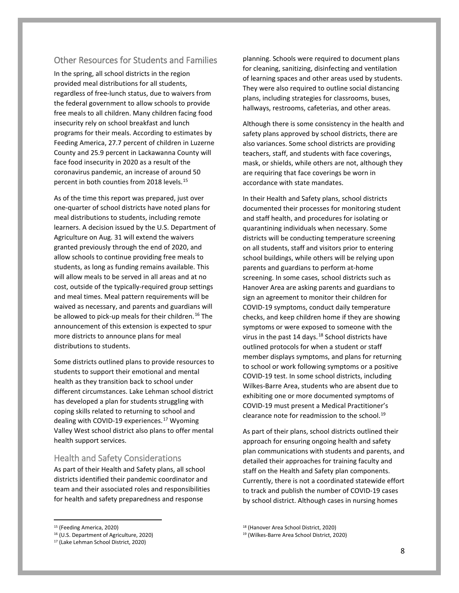#### Other Resources for Students and Families

In the spring, all school districts in the region provided meal distributions for all students, regardless of free-lunch status, due to waivers from the federal government to allow schools to provide free meals to all children. Many children facing food insecurity rely on school breakfast and lunch programs for their meals. According to estimates by Feeding America, 27.7 percent of children in Luzerne County and 25.9 percent in Lackawanna County will face food insecurity in 2020 as a result of the coronavirus pandemic, an increase of around 50 percent in both counties from 2018 levels.[15](#page-7-0)

As of the time this report was prepared, just over one-quarter of school districts have noted plans for meal distributions to students, including remote learners. A decision issued by the U.S. Department of Agriculture on Aug. 31 will extend the waivers granted previously through the end of 2020, and allow schools to continue providing free meals to students, as long as funding remains available. This will allow meals to be served in all areas and at no cost, outside of the typically-required group settings and meal times. Meal pattern requirements will be waived as necessary, and parents and guardians will be allowed to pick-up meals for their children.<sup>[16](#page-7-1)</sup> The announcement of this extension is expected to spur more districts to announce plans for meal distributions to students.

Some districts outlined plans to provide resources to students to support their emotional and mental health as they transition back to school under different circumstances. Lake Lehman school district has developed a plan for students struggling with coping skills related to returning to school and dealing with COVID-19 experiences.<sup>[17](#page-7-2)</sup> Wyoming Valley West school district also plans to offer mental health support services.

#### Health and Safety Considerations

As part of their Health and Safety plans, all school districts identified their pandemic coordinator and team and their associated roles and responsibilities for health and safety preparedness and response

planning. Schools were required to document plans for cleaning, sanitizing, disinfecting and ventilation of learning spaces and other areas used by students. They were also required to outline social distancing plans, including strategies for classrooms, buses, hallways, restrooms, cafeterias, and other areas.

Although there is some consistency in the health and safety plans approved by school districts, there are also variances. Some school districts are providing teachers, staff, and students with face coverings, mask, or shields, while others are not, although they are requiring that face coverings be worn in accordance with state mandates.

In their Health and Safety plans, school districts documented their processes for monitoring student and staff health, and procedures for isolating or quarantining individuals when necessary. Some districts will be conducting temperature screening on all students, staff and visitors prior to entering school buildings, while others will be relying upon parents and guardians to perform at-home screening. In some cases, school districts such as Hanover Area are asking parents and guardians to sign an agreement to monitor their children for COVID-19 symptoms, conduct daily temperature checks, and keep children home if they are showing symptoms or were exposed to someone with the virus in the past 14 days.<sup>[18](#page-7-0)</sup> School districts have outlined protocols for when a student or staff member displays symptoms, and plans for returning to school or work following symptoms or a positive COVID-19 test. In some school districts, including Wilkes-Barre Area, students who are absent due to exhibiting one or more documented symptoms of COVID-19 must present a Medical Practitioner's clearance note for readmission to the school.<sup>[19](#page-7-1)</sup>

As part of their plans, school districts outlined their approach for ensuring ongoing health and safety plan communications with students and parents, and detailed their approaches for training faculty and staff on the Health and Safety plan components. Currently, there is not a coordinated statewide effort to track and publish the number of COVID-19 cases by school district. Although cases in nursing homes

<span id="page-7-0"></span> <sup>15</sup> (Feeding America, 2020)

<span id="page-7-1"></span><sup>16</sup> (U.S. Department of Agriculture, 2020)

<span id="page-7-2"></span><sup>17</sup> (Lake Lehman School District, 2020)

<sup>18</sup> (Hanover Area School District, 2020)

<sup>19</sup> (Wilkes-Barre Area School District, 2020)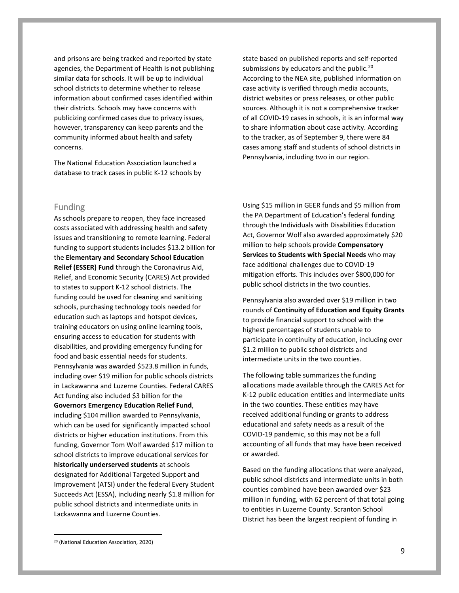and prisons are being tracked and reported by state agencies, the Department of Health is not publishing similar data for schools. It will be up to individual school districts to determine whether to release information about confirmed cases identified within their districts. Schools may have concerns with publicizing confirmed cases due to privacy issues, however, transparency can keep parents and the community informed about health and safety concerns.

The National Education Association launched a database to track cases in public K-12 schools by

Funding

As schools prepare to reopen, they face increased costs associated with addressing health and safety issues and transitioning to remote learning. Federal funding to support students includes \$13.2 billion for the **Elementary and Secondary School Education Relief (ESSER) Fund** through the Coronavirus Aid, Relief, and Economic Security (CARES) Act provided to states to support K-12 school districts. The funding could be used for cleaning and sanitizing schools, purchasing technology tools needed for education such as laptops and hotspot devices, training educators on using online learning tools, ensuring access to education for students with disabilities, and providing emergency funding for food and basic essential needs for students. Pennsylvania was awarded \$523.8 million in funds, including over \$19 million for public schools districts in Lackawanna and Luzerne Counties. Federal CARES Act funding also included \$3 billion for the **Governors Emergency Education Relief Fund**, including \$104 million awarded to Pennsylvania, which can be used for significantly impacted school districts or higher education institutions. From this funding, Governor Tom Wolf awarded \$17 million to school districts to improve educational services for **historically underserved students** at schools designated for Additional Targeted Support and Improvement (ATSI) under the federal Every Student Succeeds Act (ESSA), including nearly \$1.8 million for public school districts and intermediate units in Lackawanna and Luzerne Counties.

state based on published reports and self-reported submissions by educators and the public.<sup>[20](#page-8-0)</sup> According to the NEA site, published information on case activity is verified through media accounts, district websites or press releases, or other public sources. Although it is not a comprehensive tracker of all COVID-19 cases in schools, it is an informal way to share information about case activity. According to the tracker, as of September 9, there were 84 cases among staff and students of school districts in Pennsylvania, including two in our region.

Using \$15 million in GEER funds and \$5 million from the PA Department of Education's federal funding through the Individuals with Disabilities Education Act, Governor Wolf also awarded approximately \$20 million to help schools provide **Compensatory Services to Students with Special Needs** who may face additional challenges due to COVID-19 mitigation efforts. This includes over \$800,000 for public school districts in the two counties.

Pennsylvania also awarded over \$19 million in two rounds of **Continuity of Education and Equity Grants** to provide financial support to school with the highest percentages of students unable to participate in continuity of education, including over \$1.2 million to public school districts and intermediate units in the two counties.

The following table summarizes the funding allocations made available through the CARES Act for K-12 public education entities and intermediate units in the two counties. These entities may have received additional funding or grants to address educational and safety needs as a result of the COVID-19 pandemic, so this may not be a full accounting of all funds that may have been received or awarded.

Based on the funding allocations that were analyzed, public school districts and intermediate units in both counties combined have been awarded over \$23 million in funding, with 62 percent of that total going to entities in Luzerne County. Scranton School District has been the largest recipient of funding in

<span id="page-8-0"></span> <sup>20</sup> (National Education Association, 2020)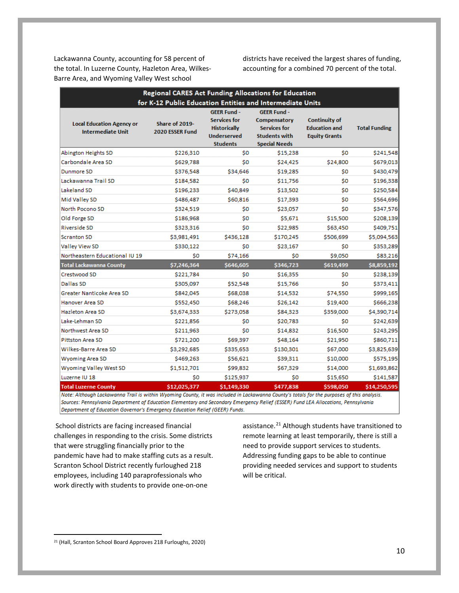Lackawanna County, accounting for 58 percent of the total. In Luzerne County, Hazleton Area, Wilkes-Barre Area, and Wyoming Valley West school

districts have received the largest shares of funding, accounting for a combined 70 percent of the total.

|                                                                                                                                                                         | <b>Regional CARES Act Funding Allocations for Education</b>                                    |                                                                                                           |                                                                                                           |                                                                      |                      |
|-------------------------------------------------------------------------------------------------------------------------------------------------------------------------|------------------------------------------------------------------------------------------------|-----------------------------------------------------------------------------------------------------------|-----------------------------------------------------------------------------------------------------------|----------------------------------------------------------------------|----------------------|
| <b>Local Education Agency or</b><br><b>Intermediate Unit</b>                                                                                                            | for K-12 Public Education Entities and Intermediate Units<br>Share of 2019-<br>2020 ESSER Fund | <b>GEER Fund -</b><br><b>Services for</b><br><b>Historically</b><br><b>Underserved</b><br><b>Students</b> | <b>GEER Fund -</b><br>Compensatory<br><b>Services for</b><br><b>Students with</b><br><b>Special Needs</b> | <b>Continuity of</b><br><b>Education and</b><br><b>Equity Grants</b> | <b>Total Funding</b> |
| Abington Heights SD                                                                                                                                                     | \$226,310                                                                                      | \$O                                                                                                       | \$15,238                                                                                                  | \$0                                                                  | \$241,548            |
| Carbondale Area SD                                                                                                                                                      | \$629,788                                                                                      | \$O                                                                                                       | \$24,425                                                                                                  | \$24,800                                                             | \$679,013            |
| Dunmore SD                                                                                                                                                              | \$376,548                                                                                      | \$34,646                                                                                                  | \$19,285                                                                                                  | \$0                                                                  | \$430,479            |
| Lackawanna Trail SD                                                                                                                                                     | \$184,582                                                                                      | \$O                                                                                                       | \$11,756                                                                                                  | \$O                                                                  | \$196,338            |
| Lakeland SD                                                                                                                                                             | \$196,233                                                                                      | \$40,849                                                                                                  | \$13,502                                                                                                  | \$0                                                                  | \$250,584            |
| Mid Valley SD                                                                                                                                                           | \$486,487                                                                                      | \$60,816                                                                                                  | \$17,393                                                                                                  | \$0                                                                  | \$564,696            |
| North Pocono SD                                                                                                                                                         | \$324,519                                                                                      | \$O                                                                                                       | \$23,057                                                                                                  | \$O                                                                  | \$347,576            |
| Old Forge SD                                                                                                                                                            | \$186,968                                                                                      | \$O                                                                                                       | \$5,671                                                                                                   | \$15,500                                                             | \$208,139            |
| Riverside SD                                                                                                                                                            | \$323,316                                                                                      | \$0                                                                                                       | \$22,985                                                                                                  | \$63,450                                                             | \$409,751            |
| <b>Scranton SD</b>                                                                                                                                                      | \$3,981,491                                                                                    | \$436,128                                                                                                 | \$170,245                                                                                                 | \$506,699                                                            | \$5,094,563          |
| <b>Valley View SD</b>                                                                                                                                                   | \$330,122                                                                                      | \$0                                                                                                       | \$23,167                                                                                                  | \$0                                                                  | \$353,289            |
| Northeastern Educational IU 19                                                                                                                                          | ŚΟ                                                                                             | \$74,166                                                                                                  | \$O                                                                                                       | \$9,050                                                              | \$83,216             |
| Total Lackawanna County                                                                                                                                                 | \$7,246,364                                                                                    | \$646,605                                                                                                 | \$346,723                                                                                                 | \$619,499                                                            | \$8,859,192          |
| Crestwood SD                                                                                                                                                            | \$221,784                                                                                      | \$0                                                                                                       | \$16,355                                                                                                  | \$O                                                                  | \$238,139            |
| Dallas SD                                                                                                                                                               | \$305,097                                                                                      | \$52,548                                                                                                  | \$15,766                                                                                                  | \$0                                                                  | \$373,411            |
| Greater Nanticoke Area SD                                                                                                                                               | \$842,045                                                                                      | \$68,038                                                                                                  | \$14,532                                                                                                  | \$74,550                                                             | \$999,165            |
| Hanover Area SD                                                                                                                                                         | \$552,450                                                                                      | \$68,246                                                                                                  | \$26,142                                                                                                  | \$19,400                                                             | \$666,238            |
| Hazleton Area SD                                                                                                                                                        | \$3,674,333                                                                                    | \$273,058                                                                                                 | \$84,323                                                                                                  | \$359,000                                                            | \$4,390,714          |
| Lake-Lehman SD                                                                                                                                                          | \$221,856                                                                                      | S0                                                                                                        | \$20,783                                                                                                  | \$0                                                                  | \$242,639            |
| Northwest Area SD                                                                                                                                                       | \$211,963                                                                                      | \$0                                                                                                       | \$14,832                                                                                                  | \$16,500                                                             | \$243,295            |
| Pittston Area SD                                                                                                                                                        | \$721,200                                                                                      | \$69,397                                                                                                  | \$48,164                                                                                                  | \$21,950                                                             | \$860,711            |
| Wilkes-Barre Area SD                                                                                                                                                    | \$3,292,685                                                                                    | \$335,653                                                                                                 | \$130,301                                                                                                 | \$67,000                                                             | \$3,825,639          |
| <b>Wyoming Area SD</b>                                                                                                                                                  | \$469,263                                                                                      | \$56,621                                                                                                  | \$39,311                                                                                                  | \$10,000                                                             | \$575,195            |
| Wyoming Valley West SD                                                                                                                                                  | \$1,512,701                                                                                    | \$99,832                                                                                                  | \$67,329                                                                                                  | \$14,000                                                             | \$1,693,862          |
| Luzerne IU 18                                                                                                                                                           | \$0                                                                                            | \$125,937                                                                                                 | \$0                                                                                                       | \$15,650                                                             | \$141,587            |
| <b>Total Luzerne County</b><br>Note: Although Lackawanna Trail is within Wyoming County it was included in Lackawanna County's totals for the nurnoses of this analysis | \$12,025,377                                                                                   | \$1,149,330                                                                                               | \$477,838                                                                                                 | \$598,050                                                            | \$14,250,595         |

Sources: Pennsylvania Department of Education Elementary and Secondary Emergency Relief (ESSER) Fund LEA Allocations, Pennsylvania Department of Education Governor's Emergency Education Relief (GEER) Funds.

School districts are facing increased financial challenges in responding to the crisis. Some districts that were struggling financially prior to the pandemic have had to make staffing cuts as a result. Scranton School District recently furloughed 218 employees, including 140 paraprofessionals who work directly with students to provide one-on-one

assistance.<sup>[21](#page-9-0)</sup> Although students have transitioned to remote learning at least temporarily, there is still a need to provide support services to students. Addressing funding gaps to be able to continue providing needed services and support to students will be critical.

<span id="page-9-0"></span> <sup>21</sup> (Hall, Scranton School Board Approves 218 Furloughs, 2020)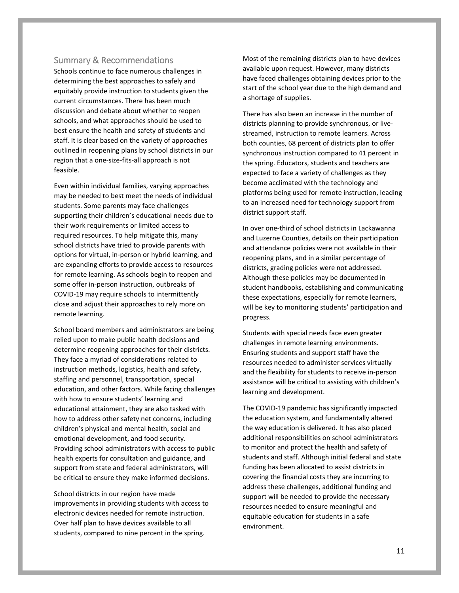#### Summary & Recommendations

Schools continue to face numerous challenges in determining the best approaches to safely and equitably provide instruction to students given the current circumstances. There has been much discussion and debate about whether to reopen schools, and what approaches should be used to best ensure the health and safety of students and staff. It is clear based on the variety of approaches outlined in reopening plans by school districts in our region that a one-size-fits-all approach is not feasible.

Even within individual families, varying approaches may be needed to best meet the needs of individual students. Some parents may face challenges supporting their children's educational needs due to their work requirements or limited access to required resources. To help mitigate this, many school districts have tried to provide parents with options for virtual, in-person or hybrid learning, and are expanding efforts to provide access to resources for remote learning. As schools begin to reopen and some offer in-person instruction, outbreaks of COVID-19 may require schools to intermittently close and adjust their approaches to rely more on remote learning.

School board members and administrators are being relied upon to make public health decisions and determine reopening approaches for their districts. They face a myriad of considerations related to instruction methods, logistics, health and safety, staffing and personnel, transportation, special education, and other factors. While facing challenges with how to ensure students' learning and educational attainment, they are also tasked with how to address other safety net concerns, including children's physical and mental health, social and emotional development, and food security. Providing school administrators with access to public health experts for consultation and guidance, and support from state and federal administrators, will be critical to ensure they make informed decisions.

School districts in our region have made improvements in providing students with access to electronic devices needed for remote instruction. Over half plan to have devices available to all students, compared to nine percent in the spring.

Most of the remaining districts plan to have devices available upon request. However, many districts have faced challenges obtaining devices prior to the start of the school year due to the high demand and a shortage of supplies.

There has also been an increase in the number of districts planning to provide synchronous, or livestreamed, instruction to remote learners. Across both counties, 68 percent of districts plan to offer synchronous instruction compared to 41 percent in the spring. Educators, students and teachers are expected to face a variety of challenges as they become acclimated with the technology and platforms being used for remote instruction, leading to an increased need for technology support from district support staff.

In over one-third of school districts in Lackawanna and Luzerne Counties, details on their participation and attendance policies were not available in their reopening plans, and in a similar percentage of districts, grading policies were not addressed. Although these policies may be documented in student handbooks, establishing and communicating these expectations, especially for remote learners, will be key to monitoring students' participation and progress.

Students with special needs face even greater challenges in remote learning environments. Ensuring students and support staff have the resources needed to administer services virtually and the flexibility for students to receive in-person assistance will be critical to assisting with children's learning and development.

The COVID-19 pandemic has significantly impacted the education system, and fundamentally altered the way education is delivered. It has also placed additional responsibilities on school administrators to monitor and protect the health and safety of students and staff. Although initial federal and state funding has been allocated to assist districts in covering the financial costs they are incurring to address these challenges, additional funding and support will be needed to provide the necessary resources needed to ensure meaningful and equitable education for students in a safe environment.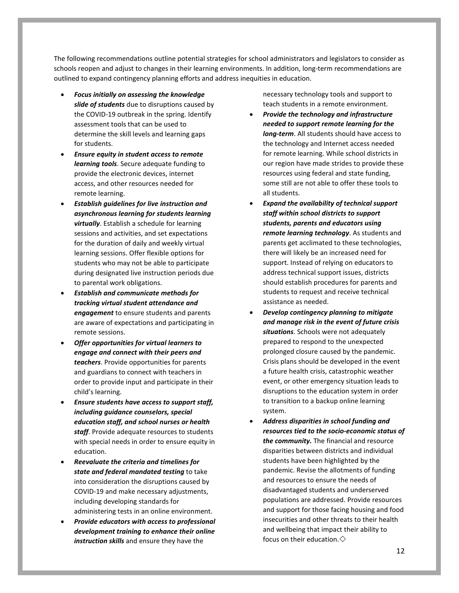The following recommendations outline potential strategies for school administrators and legislators to consider as schools reopen and adjust to changes in their learning environments. In addition, long-term recommendations are outlined to expand contingency planning efforts and address inequities in education.

- *Focus initially on assessing the knowledge slide of students* due to disruptions caused by the COVID-19 outbreak in the spring. Identify assessment tools that can be used to determine the skill levels and learning gaps for students.
- *Ensure equity in student access to remote learning tools*. Secure adequate funding to provide the electronic devices, internet access, and other resources needed for remote learning.
- *Establish guidelines for live instruction and asynchronous learning for students learning virtually*. Establish a schedule for learning sessions and activities, and set expectations for the duration of daily and weekly virtual learning sessions. Offer flexible options for students who may not be able to participate during designated live instruction periods due to parental work obligations.
- *Establish and communicate methods for tracking virtual student attendance and engagement* to ensure students and parents are aware of expectations and participating in remote sessions.
- *Offer opportunities for virtual learners to engage and connect with their peers and teachers*. Provide opportunities for parents and guardians to connect with teachers in order to provide input and participate in their child's learning.
- *Ensure students have access to support staff, including guidance counselors, special education staff, and school nurses or health staff*. Provide adequate resources to students with special needs in order to ensure equity in education.
- *Reevaluate the criteria and timelines for state and federal mandated testing* to take into consideration the disruptions caused by COVID-19 and make necessary adjustments, including developing standards for administering tests in an online environment.
- *Provide educators with access to professional development training to enhance their online instruction skills* and ensure they have the

necessary technology tools and support to teach students in a remote environment.

- *Provide the technology and infrastructure needed to support remote learning for the long-term*. All students should have access to the technology and Internet access needed for remote learning. While school districts in our region have made strides to provide these resources using federal and state funding, some still are not able to offer these tools to all students.
- *Expand the availability of technical support staff within school districts to support students, parents and educators using remote learning technology*. As students and parents get acclimated to these technologies, there will likely be an increased need for support. Instead of relying on educators to address technical support issues, districts should establish procedures for parents and students to request and receive technical assistance as needed.
- *Develop contingency planning to mitigate and manage risk in the event of future crisis situations*. Schools were not adequately prepared to respond to the unexpected prolonged closure caused by the pandemic. Crisis plans should be developed in the event a future health crisis, catastrophic weather event, or other emergency situation leads to disruptions to the education system in order to transition to a backup online learning system.
- *Address disparities in school funding and resources tied to the socio-economic status of the community.* The financial and resource disparities between districts and individual students have been highlighted by the pandemic. Revise the allotments of funding and resources to ensure the needs of disadvantaged students and underserved populations are addressed. Provide resources and support for those facing housing and food insecurities and other threats to their health and wellbeing that impact their ability to focus on their education. $\diamondsuit$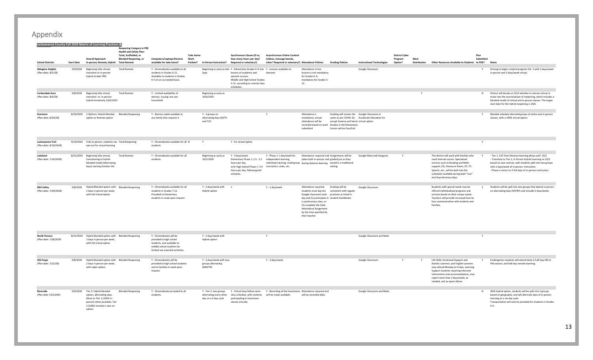|                                                |                   | Lackawanna County Fall 2020 Matrix of Learning Practices &                                                                                                        | <b>Reopening Category in PDE</b><br><b>Health and Safety Plan:</b><br>Total, Scaffolded, or |                                                                                                                                                     | <b>Take Home</b>                                      |                          | Synchronous Classes (if so.                                                                                                                                                                                           | <b>Asynchronous Online Content</b>                                                                                                       |                                                                                                                                                                                                                                                   |                                                                                                                                                                          |                                                | <b>District Cyber</b> |                      |                                                                                                                                                                                                                                                                            | Plan      |                                                                                                                                                                                                                                                                                               |
|------------------------------------------------|-------------------|-------------------------------------------------------------------------------------------------------------------------------------------------------------------|---------------------------------------------------------------------------------------------|-----------------------------------------------------------------------------------------------------------------------------------------------------|-------------------------------------------------------|--------------------------|-----------------------------------------------------------------------------------------------------------------------------------------------------------------------------------------------------------------------|------------------------------------------------------------------------------------------------------------------------------------------|---------------------------------------------------------------------------------------------------------------------------------------------------------------------------------------------------------------------------------------------------|--------------------------------------------------------------------------------------------------------------------------------------------------------------------------|------------------------------------------------|-----------------------|----------------------|----------------------------------------------------------------------------------------------------------------------------------------------------------------------------------------------------------------------------------------------------------------------------|-----------|-----------------------------------------------------------------------------------------------------------------------------------------------------------------------------------------------------------------------------------------------------------------------------------------------|
| <b>School Districts</b>                        | <b>Start Date</b> | <b>Overall Approach:</b><br>In-person; Remote; Hybrid Total Remote                                                                                                | <b>Blended Reopening, or</b>                                                                | Computers/Laptops/Devices<br>available for take home?                                                                                               | Work<br>Packets? In-Person Instruction?               |                          | how many hours per day?<br>Required or voluntary?)                                                                                                                                                                    | (videos, message boards,<br>other? Required or voluntary?) Attendance Policies                                                           |                                                                                                                                                                                                                                                   | <b>Grading Policies</b>                                                                                                                                                  | <b>Instructional Technologies</b>              | Program<br>Option?    | Meal<br>Distribution | Other Resources Available to Students to PDE?                                                                                                                                                                                                                              | Submitted | <b>Notes</b>                                                                                                                                                                                                                                                                                  |
| <b>Abington Heights</b><br>(Plan date: 8/5/20) |                   | 9/9/2020 Beginning fully virtual,<br>transition to in-person<br>hybrid at date TBD                                                                                | <b>Total Remote</b>                                                                         | Y - Chromebooks available to all<br>students in Grades 6-12.<br>Available to students in Grades<br>K-5 on an as-needed basis.                       | Sept.                                                 |                          | Beginning as early as late Y - Elementary Grades K-4: live Y - Lessons available on<br>lessons of academic and<br>specials courses.<br>Middle and High School Grades<br>5-12: according to normal class<br>schedules. | demand                                                                                                                                   | Attendance in live<br>lessons is not mandatory<br>for Grades K-4;<br>mandatory for Grades 5-<br>12.                                                                                                                                               |                                                                                                                                                                          | Google Classroom                               |                       |                      |                                                                                                                                                                                                                                                                            |           | Striving to begin a hybrid program Oct. 5 with 2 days/week<br>in-person and 3 days/week virtual.                                                                                                                                                                                              |
| Carbondale Area<br>(Plan date: 8/6/20)         |                   | 9/8/2020 Beginning fully virtual,<br>transition to in-person<br>hybrid tentatively 10/6/2020                                                                      | <b>Total Remote</b>                                                                         | Y - Limited availability of<br>devices; issuing one per<br>household.                                                                               | Beginning as early as<br>10/6/2020                    |                          |                                                                                                                                                                                                                       |                                                                                                                                          |                                                                                                                                                                                                                                                   |                                                                                                                                                                          |                                                |                       |                      |                                                                                                                                                                                                                                                                            | N         | District will decide on 9/22 whether to remain virtual or<br>move into the second phase of reopening, which includes a<br>blended model of virtual and in-person classes. The target<br>start date for the hybrid reopening is 10/6.                                                          |
| Dunmore<br>(Plan date: 8/24/20)                |                   | 8/26/2020 2 Options: Hybrid blended Blended Reopening<br>option or Remote option                                                                                  |                                                                                             | Y - Devices made available to<br>any family that requires it                                                                                        | Y - 2 groups on<br>alternating days (M/Th<br>and T/F) |                          |                                                                                                                                                                                                                       | Y                                                                                                                                        | Attendance is<br>mandatory; virtual<br>attendance will be<br>submitted                                                                                                                                                                            | Grading will remain the Google Classroom or<br>except Science and Social virtual option<br>recorded based on work Studies in the Elementary<br>Center will be Pass/Fail. | same as pre-COVID-19, Accelerate Education for |                       |                      |                                                                                                                                                                                                                                                                            | Y.        | Blended schedule alternating days of online and in-person<br>classes, with a 100% virtual option.                                                                                                                                                                                             |
| Lackawanna Trail<br>(Plan date: 8/10/2020)     |                   | 9/10/2020 Fully In-person, students can Total Reopening<br>opt-out for virtual learning                                                                           |                                                                                             | Y - Chromebooks available for all N<br>students                                                                                                     | Υ                                                     |                          | Y - for virtual option                                                                                                                                                                                                |                                                                                                                                          |                                                                                                                                                                                                                                                   |                                                                                                                                                                          |                                                |                       |                      |                                                                                                                                                                                                                                                                            |           |                                                                                                                                                                                                                                                                                               |
| Lakeland<br>(Plan date: 7/24/2020)             |                   | 8/31/2020 Beginning fully virtual,<br>transitioning to hybrid<br>blended model (alternating<br>days) starting October 5th                                         | <b>Total Remote</b>                                                                         | Y - Chromebooks available for all<br>students                                                                                                       | Beginning as early as<br>10/5/2020                    |                          | Y - 4 days/week.<br>Elementary Phase 1: 2.5 - 3.5<br>hours per day.<br>Jr/Sr High School Phase 1: 3-4 instruction, clubs, etc.<br>hours per day, following bell<br>schedule.                                          | Y - Phase 1: 1 day/week for<br>independent learning,<br>individual tutoring, small group during distance learning would in a traditional | Attendance required and Assignments will be<br>taken both in-person and graded just as they                                                                                                                                                       | setting                                                                                                                                                                  | Google Meet and Hangouts                       |                       |                      | The district will work with families who<br>need internet access. Specialized<br>services such as Reading and Math<br>support, ESL, Resource Room, OT, PT,<br>Speech, etc., will be built into the<br>schedule/ available during both "Live"<br>and Asynchronous days.     | Y         | - Tier 1, Full Time Distance learning phase until 10/2.<br>- Transition to Tier 2, In Person Hybrid Learning on 10/5<br>based on case volume, with students split into two groups<br>with 2 days/week of in-person instruction.<br>- Phase in return to 5 full days of in-person instruction. |
| <b>Mid Valley</b><br>(Plan date: 7/29/2020)    | 9/8/2020          | Hybrid Blended option with Blended Reopening<br>2 days in person per week,<br>with full virtual option                                                            |                                                                                             | Y - Chromebooks available for all<br>students in Grades 7-12.<br>Provided to Elementary<br>students in need upon request.                           | Y - 2 days/week with<br>Hybrid option                 |                          | $\mathbf{v}$                                                                                                                                                                                                          | Y - 1 day/week                                                                                                                           | Attendance required,<br>Google Classroom each practices as listed in<br>day and (1) participate in student handbooks.<br>a synchronous class, or<br>(2) complete the Daily<br>Attendance Assignment<br>by the time specified by<br>their teacher. | Grading will be<br>students must log into consistent with regular                                                                                                        | Google Classroom                               |                       |                      | Students with special needs may be<br>offered individualized programs and<br>services based on their unique needs.<br>Teachers will provide increased face-to-<br>face communication with students and<br>families.                                                        | Y         | Students will be split into two groups that attend in-person<br>on alternating days (MT/RF) and virtually 3 days/week.                                                                                                                                                                        |
| <b>North Pocono</b><br>(Plan date: 7/30/2020   |                   | 8/31/2020 Hybrid blended option with Blended Reopening<br>2 days in person per week,<br>with full virtual option                                                  |                                                                                             | Y - Chromebooks will be<br>provided to high school<br>students, and available to<br>middle school students for<br>limited use essential activities. | Y - 2 days/week with<br>Hybrid option                 |                          |                                                                                                                                                                                                                       | Y                                                                                                                                        |                                                                                                                                                                                                                                                   |                                                                                                                                                                          | Google Classroom and Meet                      |                       |                      |                                                                                                                                                                                                                                                                            |           |                                                                                                                                                                                                                                                                                               |
| Old Forge<br>(Plan date: 7/22/20)              | 9/8/2020          | Hybrid blended option with Blended Reopening<br>2 days in person per week,<br>with cyber option.                                                                  |                                                                                             | Y - Chromebooks will be<br>provided to high school students<br>and to families in need upon<br>request.                                             | groups alternating<br>(MW/TR)                         | Y - 2 days/week with two |                                                                                                                                                                                                                       | Y - 3 days/week                                                                                                                          |                                                                                                                                                                                                                                                   |                                                                                                                                                                          | Google Classroom                               |                       |                      | Life Skills, Emotional Support and<br>Autistic Learners, and English Learners<br>may attend Monday to Friday. Learning<br>Support students requiring intensive<br>intervention and accommodations, may<br>report more than 2 days/week, as<br>needed, and as space allows. |           | Kindergarten students will attend daily in half-day AM or<br>PM session, and half-day remote learning.                                                                                                                                                                                        |
| <b>Riverside</b><br>(Plan date 7/22/2020       |                   | 9/9/2020 Tier 2: Hybrid blended<br>option, alternating days.<br>Move to Tier 1 (100% in-<br>person) when possible). Tier<br>3 (100% remote) is also an<br>option. | <b>Blended Reopening</b>                                                                    | Y - Chromebooks provided to all<br>students.                                                                                                        | day on a 6-day cycle                                  |                          | alternating every other class schedule, with students will be made available.<br>participating in livestream<br>classes virtually                                                                                     | Y - Tier 2: two groups Y - Virtual days follow same Y - Recording of the livestreams Attendance required and                             | will be recorded daily.                                                                                                                                                                                                                           |                                                                                                                                                                          | Google Classroom and Meet.                     |                       |                      |                                                                                                                                                                                                                                                                            |           | N With hybrid option, students will be split into 2 groups<br>based on geography, and will alternate days of in-person<br>learning on a six-day cycle.<br>Transportation will only be provided for students in Grades<br>K-6.                                                                 |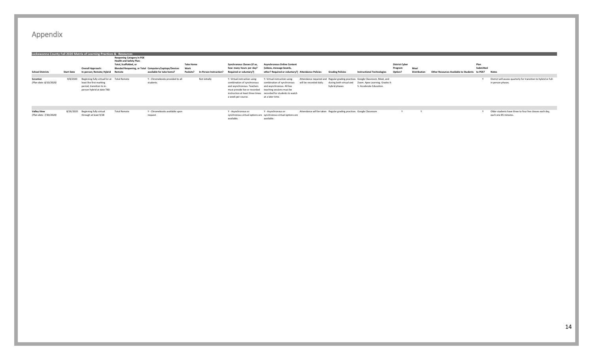|                                              |                   | Lackawanna County Fall 2020 Matrix of Learning Practices & Resources                                                             | <b>Reopening Category in PDE</b>                               |                                                       |                  |                        |                                                                                                                                                                          |                                                                                                                                                                                 |                         |                                                                     |                                                                                                                                             |                       |                     |                                              |           |                                                                                       |
|----------------------------------------------|-------------------|----------------------------------------------------------------------------------------------------------------------------------|----------------------------------------------------------------|-------------------------------------------------------|------------------|------------------------|--------------------------------------------------------------------------------------------------------------------------------------------------------------------------|---------------------------------------------------------------------------------------------------------------------------------------------------------------------------------|-------------------------|---------------------------------------------------------------------|---------------------------------------------------------------------------------------------------------------------------------------------|-----------------------|---------------------|----------------------------------------------|-----------|---------------------------------------------------------------------------------------|
|                                              |                   |                                                                                                                                  | <b>Health and Safety Plan:</b><br><b>Total, Scaffolded, or</b> |                                                       | <b>Take Home</b> |                        | Synchronous Classes (if so,                                                                                                                                              | <b>Asynchronous Online Content</b>                                                                                                                                              |                         |                                                                     |                                                                                                                                             | <b>District Cyber</b> |                     |                                              | Plan      |                                                                                       |
|                                              |                   | <b>Overall Approach:</b>                                                                                                         |                                                                | Blended Reopening, or Total Computers/Laptops/Devices | Work             |                        | how many hours per day?                                                                                                                                                  | (videos, message boards,                                                                                                                                                        |                         |                                                                     |                                                                                                                                             | Program               | Meal                |                                              | Submitted |                                                                                       |
| <b>School Districts</b>                      | <b>Start Date</b> | In-person; Remote; Hybrid                                                                                                        | Remote                                                         | available for take home?                              | Packets?         | In-Person Instruction? | Required or voluntary?)                                                                                                                                                  | other? Required or voluntary?) Attendance Policies                                                                                                                              |                         | <b>Grading Policies</b>                                             | <b>Instructional Technologies</b>                                                                                                           | Option?               | <b>Distribution</b> | <b>Other Resources Available to Students</b> | to PDE?   | <b>Notes</b>                                                                          |
|                                              |                   |                                                                                                                                  |                                                                |                                                       |                  |                        |                                                                                                                                                                          |                                                                                                                                                                                 |                         |                                                                     |                                                                                                                                             |                       |                     |                                              |           |                                                                                       |
| Scranton<br>(Plan date: 8/10/2020)           | 9/8/2020          | Beginning fully virtual for at Total Remote<br>least the first marking<br>period, transition to in-<br>person hybrid at date TBD |                                                                | Y - Chromebooks provided to all<br>students.          |                  | Not initially          | Y-Virtual instruction using<br>combination of synchronous<br>and asynchronous. Teachers<br>must provide live or recorded teaching sessions must be<br>a week per course. | Y- Virtual instruction using<br>combination of synchronous<br>and asynchronous. All live<br>instruction at least three times recorded for students to watch<br>at a later time. | will be recorded daily. | during both virtual and<br>hybrid phases                            | Attendance required and Regular grading practices Google Classroom, Meet, and<br>Zoom. Apex Learning. Grades K-<br>5: Accelerate Education. |                       |                     |                                              |           | District will assess quarterly for transition to hybrid or full-<br>in person phases. |
| <b>Valley View</b><br>(Plan date: 7/30/2020) | 8/26/2020         | Beginning fully virtual<br>through at least 9/28                                                                                 | <b>Total Remote</b>                                            | Y - Chromebooks available upon<br>request             |                  |                        | Y - Asynchronous or<br>available.                                                                                                                                        | Y - Asynchronous or<br>synchronous virtual options are synchronous virtual options are<br>available.                                                                            |                         | Attendance will be taken Regular grading practices Google Classroom |                                                                                                                                             |                       |                     |                                              |           | Older students have three to four live classes each day,<br>each one 85 minutes.      |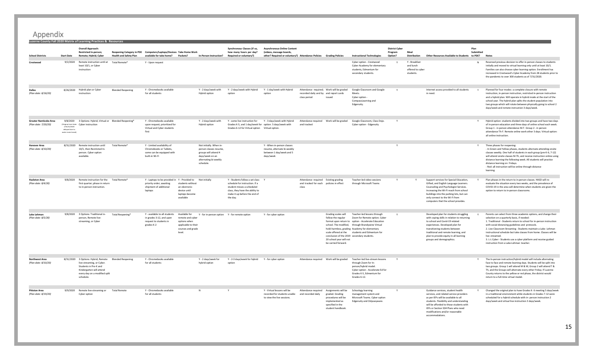**Luzerne County Fall 2020 Matrix of Learning Practices & Resources**

**School Districts Start Date Overall Approach: Restricted In-person; Remote; Hybrid; Cyber Reopening Category in PDE Computers/Laptops/Devices Take Home Work Health and Safety Plan available for take home? Packets? In-Person Instruction? Required or voluntary?) Synchronous Classes (if so, how many hours per day? Asynchronous Online Content (videos, message boards, other? Required or voluntary?) Attendance Policies Grading Policies Instructional Technologies District Cyber Program Option? Meal Distribution Other Resources Available to Students to PDE? Notes Plan Submitted Crestwood** 9/2/2020 Remote instruction until at Total Remote least 10/1, or Cyber instruction Total Remote\* Y - Upon request Cyber option - Crestwood Cyber Academy for elementary students, Edmentum for secondary students Y Y - Breakfast and lunch offered to cybe students. Reversed previous decision to offer in-person classes to students initially and moved to virtual learning only until at least 10/1. Families can also choose cyber learning option. Enrollment has increased in Crestwood's Cyber Academy from 28 students prior to the pandemic to over 300 students as of 7/31/2020. **Dallas** *(Plan date: 8/18/20)* 8/26/2020 Hybrid plan or Cyber instruction Blended Reopening Y - Chromebooks available for all students Y - 2 days/week with Hybrid option Y - 2 days/week with Hybrid option Y - 1 day/week with Hybrid option Attendance required; Work will be graded recorded daily and by and report cards class period issued Google Classroom and Google Meets. Cyber option CompassLearning and Edgenuity. Internet access provided to all students in need. Planned for four modes: a complete closure with remote instruction, in-person instruction, restricted in-person instruction and a hybrid plan. Will operate in hybrid mode at the start of the school year. The hybrid plan splits the student population into two groups which will rotate between physically going to school 2 days/week and remote instruction 3 days/week. **Greater Nanticoke Area** *(Plan date: 7/20/20)* 9/8/2020 3 Options: Hybrid, Virtual or (Original start date Cyber instruction of 8/31/2020 delayed due to water main break) Y - Chromebooks available upon request; prioritized for Virtual and Cyber students first Y - 2 days/week with Hybrid option Y - some live instruction for Y - 3 days/week with Hybrid Attendance required Grades K-5, and 1 day/week for option. 5 days/week with Grades 6-12 for Virtual option Virtual option. and tracked Google Classroom, Class Dojo. Cyber option - Edgenuity Y Y Hybrid option: students divided into two groups and have two days of in-person education and three days of online school each week. Group 1 - in person attendance M-T. Group 2 - in person attendance Th-F. Remote online work other 3 days. Virtual option: all online instruction. **Hanover Area** *(Plan date: 8/10/20)* 8/31/2020 Remote instruction until 10/1, then Restricted Inperson. Cyber option available. Total Remote\* Y - Limited availability of Chromebooks or Tablets, some can be equipped with built-in Wi-Fi Not initially. When inperson classes resume, groups will attend 4 days/week on an alternating bi-weekly schedule. Y - When in-person classes resume, alternate bi-weekly between 1 day/week and 5 days/week Y Y Three phases for reopening: - In Green and Yellow phases, students alternate attending onsite classes weekly. One half of students in each group (pre-K-6, 7-12) will attend onsite classes M-Th, and receive instruction online using distance learning the following week. All students will practice distance learning on Fridays. - Red: all instruction will be online through distance learning. **Hazleton Area** *(Plan date: 8/4/20)* 9/8/2020 Remote instruction for the Total Remote' first quarter; phase in return to in-person instruction. Total Remote\* Y - Laptops to be provided in Y - Provided to priority order; awaiting shipment of additional laptops students without an electronic device until laptops become available Y - Students follow a set class Y schedule for instruction. If a student misses a scheduled class, they have the ability to make it up before the end of the day. Y Attendance required Existing grading and tracked for each policies in effect class Teacher-led video sessions through Microsoft Teams Support services for Special Education, Gifted, and English Language Learners. Counseling and Psychologist Services. Increasing the Wi-Fi reach from school buildings into the parking lots, but can only connect to the Wi-Fi from computers that the school provides. Plan phases in the return to in-person classes. HASD will reevaluate the situation every two weeks, and the prevalence of COVID-19 in the area will determine when students are given the option to return to in-person classrooms. **Lake Lehman** *(Plan date: 8/5/20)* 9/8/2020 3 Options: Traditional inperson, Remote livestreaming, or Cyber Total Reopening\* Y - available to all students in grades 3-12, and upon request to students in grades K-2 Available for remote and cyber options when applicable to their courses and grade level. Y - for in-person option Y - for remote option Y - for cyber option Grading scales will follow the regular Zoom for Remote option. Cyber format upon return to option - Accelerate Education school. The modified, through Brandywine Virtual hold-harmless, grading Academy for elementary scale offered at the students and Edmentum for conclusion of the 2019 secondary students. 20 school year will not be carried forward. Teacher-led lessons through Developed plan for students struggling with coping skills in relation to returning to school and Covid-19 related experiences. Developed plan for transitioning students between traditional and remote learning, and plan to provide equity in all learning groups and demographics. Parents can select from three academic options, and change their selection on a quarterly basis, if needed: 1. Traditional - Students return to school for in-person instruction with social distancing guidelines and protocols. 2. Live Classroom Streaming - Students maintain a Lake- Lehman instructional schedule but take classes from home. Classes will be live streamed. 3. L-L Cyber - Students use a cyber platform and receive guided instruction from a Lake-Lehman teacher. **Northwest Area** *(Plan date: 8/10/20)* 8/31/2020 3 Options: Hybrid, Remote live-streaming, or Cyber. Students in Pre-K and Kindergarten will attend every day on a modified split schedule. Y - Chromebooks available for all students Y - 2 days/week for hybrid option Y - 2-3 days/week for hybrid option Y - for cyber option Attendance required Work will be graded Teacher-led live-stream lessons through Zoom for Inperson/hybrid model. Cyber option - Accelerate Ed for Grades K-5, Edmentum for Grades 6-12. The In-person instruction/hybrid model will include alternating face to face and remote learning days. Students will be split into two groups. Group 1 will attend M & W, Group 2 will attend T & Th, and the Groups will alternate every other Friday. If Luzerne County returns to the yellow or red phase, the district would return to a full-time virtual model. **Pittston Area** *(Plan date: 8/19/20)* 9/9/2020 Remote live-streaming or Cyber option Y - Chromebooks available for all students N Y Y - Virtual lessons will be recorded for students unable to view the live sessions. Attendance required Assignments will be and recorded daily graded. Grading procedures will be implemented as specified in the student handbook Schoology learning management system and Microsoft Teams. Cyber option Edgenuity and Odysseyware. Y Guidance services, student health services, and related service providers as per IEPs will be available to all students. Flexibility and understanding will be afforded to those students with IEPs or Section 504 Plans who need modifications and/or reasonable accommodations. Y Changed the original plan to have Grades K- 6 meeting 5 days/week in a traditional environment while students in Grades 7-12 were scheduled for a hybrid schedule with in- person instruction 2 days/week and virtual live instruction 3 days/week.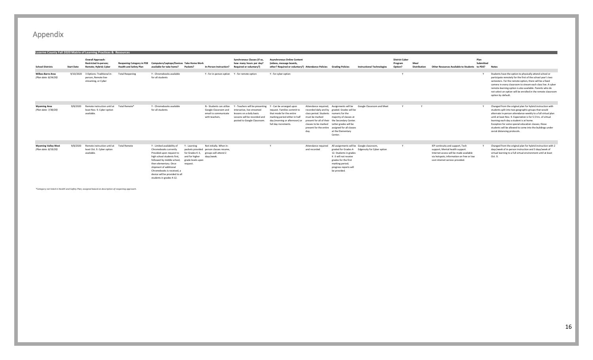| <b>School Districts</b>                            | <b>Start Date</b> | <b>Overall Approach:</b><br>Restricted In-person;<br>Remote; Hybrid; Cyber           | <b>Reopening Category in PDE</b><br><b>Health and Safety Plan</b> | Computers/Laptops/Devices Take Home Work<br>available for take home? Packets?                                                                                                                                                                                                                |                                                                                   | <b>In-Person Instruction?</b>                                                                            | Synchronous Classes (if so,<br>how many hours per day?<br>Required or voluntary?)                                                                         | <b>Asynchronous Online Content</b><br>(videos, message boards,<br>other? Required or voluntary?) Attendance Policies                                                          |                                                                                          | <b>Grading Policies</b>                                                                                                                                                                                                                                                          | <b>Instructional Technologies</b>               | <b>District Cyber</b><br>Program<br>Option? | Meal<br><b>Distribution</b> | Plan<br>Other Resources Available to Students to PDE?                                                                                                                                        | Submitted | <b>Notes</b>                                                                                                                                                                                                                                                                                                                                                                                                                                       |
|----------------------------------------------------|-------------------|--------------------------------------------------------------------------------------|-------------------------------------------------------------------|----------------------------------------------------------------------------------------------------------------------------------------------------------------------------------------------------------------------------------------------------------------------------------------------|-----------------------------------------------------------------------------------|----------------------------------------------------------------------------------------------------------|-----------------------------------------------------------------------------------------------------------------------------------------------------------|-------------------------------------------------------------------------------------------------------------------------------------------------------------------------------|------------------------------------------------------------------------------------------|----------------------------------------------------------------------------------------------------------------------------------------------------------------------------------------------------------------------------------------------------------------------------------|-------------------------------------------------|---------------------------------------------|-----------------------------|----------------------------------------------------------------------------------------------------------------------------------------------------------------------------------------------|-----------|----------------------------------------------------------------------------------------------------------------------------------------------------------------------------------------------------------------------------------------------------------------------------------------------------------------------------------------------------------------------------------------------------------------------------------------------------|
| <b>Wilkes-Barre Area</b><br>(Plan date: 8/24/20)   | 9/10/2020         | 3 Options: Traditional in-<br>person, Remote live-<br>streaming, or Cyber            | <b>Total Reopening</b>                                            | Y - Chromebooks available<br>for all students                                                                                                                                                                                                                                                |                                                                                   | Y - for in-person option Y - for remote option                                                           |                                                                                                                                                           | Y - for cyber option                                                                                                                                                          |                                                                                          |                                                                                                                                                                                                                                                                                  |                                                 |                                             |                             |                                                                                                                                                                                              |           | Students have the option to physically attend school or<br>participate remotely for the first of the school year's two<br>semesters. For the remote option, there will be a fixed<br>camera in every classroom to stream each class live. A cyber<br>remote-learning option is also available. Parents who do<br>not select an option will be enrolled in the remote classroom<br>option by default.                                               |
| <b>Wyoming Area</b><br>(Plan date: 7/30/20)        | 9/8/2020          | Remote instruction until at<br>least Nov. 9. Cyber option<br>available.              | Total Remote*                                                     | Y - Chromebooks available<br>for all students                                                                                                                                                                                                                                                |                                                                                   | N - Students can utilize<br>Google Classroom and<br>email to communicate<br>with teachers.               | Y - Teachers will be presenting<br>interactive, live streamed<br>lessons on a daily basis.<br>Lessons will be recorded and<br>posted to Google Classroom. | Y - Can be arranged upon<br>request. Families commit to<br>that mode for the entire<br>marking period either in half<br>day (morning or afternoon) or<br>full day increments. | class period. Students numeric for the<br>must be marked<br>classes to be marked<br>day. | Attendance required; Assignments will be<br>recorded daily and by graded. Grades will be<br>majority of classes at<br>present for all of their the Secondary Center.<br>Letter grades will be<br>present for the entire assigned for all classes<br>at the Elementary<br>Center. | Google Classroom and Meet                       |                                             | $\mathbf{v}$                |                                                                                                                                                                                              |           | Changed from the original plan for hybrid instruction with<br>students split into two geographic groups that would<br>alternate in-person attendance weekly to a full virtual plan<br>until at least Nov. 9. Expectation is for 5.5 hrs. of virtual<br>learning each day a student is at home.<br>Exception for some special education classes; those<br>students will be allowed to come into the buildings under<br>social distancing protocols. |
| <b>Wyoming Valley West</b><br>(Plan date: 8/19/20) | 9/8/2020          | Remote instruction until at Total Remote<br>least Oct. 9. Cyber option<br>available. |                                                                   | Y - Limited availability of<br>Chromebooks currently<br>Provided upon request to<br>high school students first,<br>followed by middle school,<br>then elementary. Once<br>shipment of additional<br>Chromebooks is received, a<br>device will be provided to all<br>students in grades 4-12. | Y - Learning<br>for Grades K-3.<br>and for higher<br>grade levels upon<br>request | Not initially. When in-<br>packets provided person classes resume.<br>groups will attend 2<br>davs/week. |                                                                                                                                                           |                                                                                                                                                                               | Attendance require<br>and recorded                                                       | All assignments will be Google classroom,<br>12. Students in grades<br>K-3 will not receive<br>grades for the first<br>marking period;<br>progress reports will<br>be provided.                                                                                                  | graded for Grades 4- Edgenuity for Cyber option |                                             |                             | IEP continuity and support, Tech<br>support, Mental health support.<br>Internet access will be made available<br>via hotspots: information on free or low<br>cost internet service provided. |           | Changed from the original plan for hybrid instruction with 2<br>days/week of in-person instruction and 3 days/week of<br>virtual learning to a full virtual environment until at least<br>Oct. 9.                                                                                                                                                                                                                                                  |

*\*Category not listed in Health and Safety Plan; assigned based on description of reopening approach.*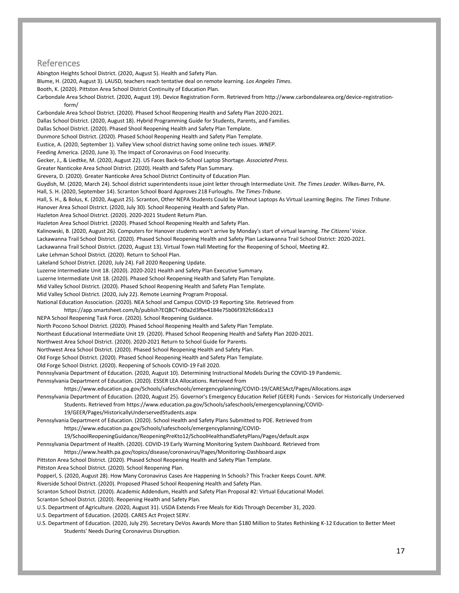#### References

Abington Heights School District. (2020, August 5). Health and Safety Plan. Blume, H. (2020, August 3). LAUSD, teachers reach tentative deal on remote learning. *Los Angeles Times*. Booth, K. (2020). Pittston Area School District Continuity of Education Plan. Carbondale Area School District. (2020, August 19). Device Registration Form. Retrieved from http://www.carbondalearea.org/device-registrationform/ Carbondale Area School District. (2020). Phased School Reopening Health and Safety Plan 2020-2021. Dallas School District. (2020, August 18). Hybrid Programming Guide for Students, Parents, and Families. Dallas School District. (2020). Phased Shool Reopening Health and Safety Plan Template. Dunmore School District. (2020). Phased School Reopening Health and Safety Plan Template. Eustice, A. (2020, September 1). Valley View school district having some online tech issues. *WNEP*. Feeding America. (2020, June 3). The Impact of Coronavirus on Food Insecurity. Gecker, J., & Liedtke, M. (2020, August 22). US Faces Back-to-School Laptop Shortage. *Associated Press*. Greater Nanticoke Area School District. (2020). Health and Safety Plan Summary. Grevera, D. (2020). Greater Nanticoke Area School District Continuity of Education Plan. Guydish, M. (2020, March 24). School district superintendents issue joint letter through Intermediate Unit. *The Times Leader*. Wilkes-Barre, PA. Hall, S. H. (2020, September 14). Scranton School Board Approves 218 Furloughs. *The Times-Tribune*. Hall, S. H., & Bolus, K. (2020, August 25). Scranton, Other NEPA Students Could be Without Laptops As Virtual Learning Begins. *The Times Tribune*. Hanover Area School District. (2020, July 30). School Reopening Health and Safety Plan. Hazleton Area School District. (2020). 2020-2021 Student Return Plan. Hazleton Area School District. (2020). Phased School Reopening Health and Safety Plan. Kalinowski, B. (2020, August 26). Computers for Hanover students won't arrive by Monday's start of virtual learning. *The Citizens' Voice*. Lackawanna Trail School District. (2020). Phased School Reopening Health and Safety Plan Lackawanna Trail School District: 2020-2021. Lackawanna Trail School District. (2020, August 13). Virtual Town Hall Meeting for the Reopening of School, Meeting #2. Lake Lehman School District. (2020). Return to School Plan. Lakeland School District. (2020, July 24). Fall 2020 Reopening Update. Luzerne Intermediate Unit 18. (2020). 2020-2021 Health and Safety Plan Executive Summary. Luzerne Intermediate Unit 18. (2020). Phased School Reopening Health and Safety Plan Template. Mid Valley School District. (2020). Phased School Reopening Health and Safety Plan Template. Mid Valley School District. (2020, July 22). Remote Learning Program Proposal. National Education Association. (2020). NEA School and Campus COVID-19 Reporting Site. Retrieved from https://app.smartsheet.com/b/publish?EQBCT=00a2d3fbe4184e75b06f392fc66dca13 NEPA School Reopening Task Force. (2020). School Reopening Guidance. North Pocono School District. (2020). Phased School Reopening Health and Safety Plan Template. Northeast Educational Intermediate Unit 19. (2020). Phased School Reopening Health and Safety Plan 2020-2021. Northwest Area School District. (2020). 2020-2021 Return to School Guide for Parents. Northwest Area School District. (2020). Phased School Reopening Health and Safety Plan. Old Forge School District. (2020). Phased School Reopening Health and Safety Plan Template. Old Forge School District. (2020). Reopening of Schools COVID-19 Fall 2020. Pennsylvania Department of Education. (2020, August 10). Determining Instructional Models During the COVID-19 Pandemic. Pennsylvania Department of Education. (2020). ESSER LEA Allocations. Retrieved from https://www.education.pa.gov/Schools/safeschools/emergencyplanning/COVID-19/CARESAct/Pages/Allocations.aspx Pennsylvania Department of Education. (2020, August 25). Governor's Emergency Education Relief (GEER) Funds - Services for Historically Underserved Students. Retrieved from https://www.education.pa.gov/Schools/safeschools/emergencyplanning/COVID-19/GEER/Pages/HistoricallyUnderservedStudents.aspx Pennsylvania Department of Education. (2020). School Health and Safety Plans Submitted to PDE. Retrieved from https://www.education.pa.gov/Schools/safeschools/emergencyplanning/COVID-19/SchoolReopeningGuidance/ReopeningPreKto12/SchoolHealthandSafetyPlans/Pages/default.aspx Pennsylvania Department of Health. (2020). COVID-19 Early Warning Monitoring System Dashboard. Retrieved from https://www.health.pa.gov/topics/disease/coronavirus/Pages/Monitoring-Dashboard.aspx Pittston Area School District. (2020). Phased School Reopening Health and Safety Plan Template. Pittston Area School District. (2020). School Reopening Plan. Popperl, S. (2020, August 28). How Many Coronavirus Cases Are Happening In Schools? This Tracker Keeps Count. *NPR*. Riverside School District. (2020). Proposed Phased School Reopening Health and Safety Plan. Scranton School District. (2020). Academic Addendum, Health and Safety Plan Proposal #2: Virtual Educational Model. Scranton School District. (2020). Reopening Health and Safety Plan. U.S. Department of Agriculture. (2020, August 31). USDA Extends Free Meals for Kids Through December 31, 2020.

U.S. Department of Education. (2020). CARES Act Project SERV.

U.S. Department of Education. (2020, July 29). Secretary DeVos Awards More than \$180 Million to States Rethinking K-12 Education to Better Meet Students' Needs During Coronavirus Disruption.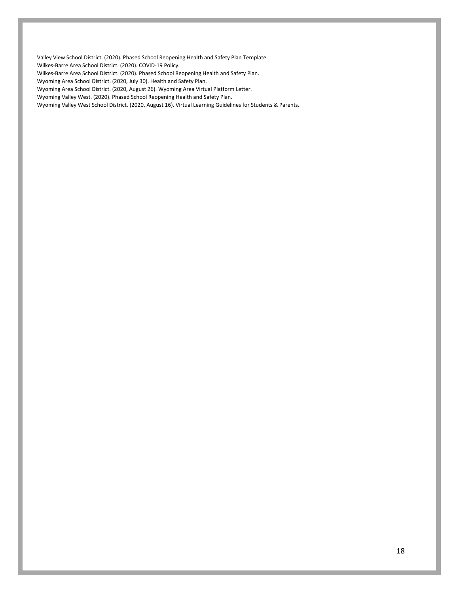Valley View School District. (2020). Phased School Reopening Health and Safety Plan Template. Wilkes-Barre Area School District. (2020). COVID-19 Policy.

Wilkes-Barre Area School District. (2020). Phased School Reopening Health and Safety Plan.

Wyoming Area School District. (2020, July 30). Health and Safety Plan.

Wyoming Area School District. (2020, August 26). Wyoming Area Virtual Platform Letter.

Wyoming Valley West. (2020). Phased School Reopening Health and Safety Plan.

Wyoming Valley West School District. (2020, August 16). Virtual Learning Guidelines for Students & Parents.